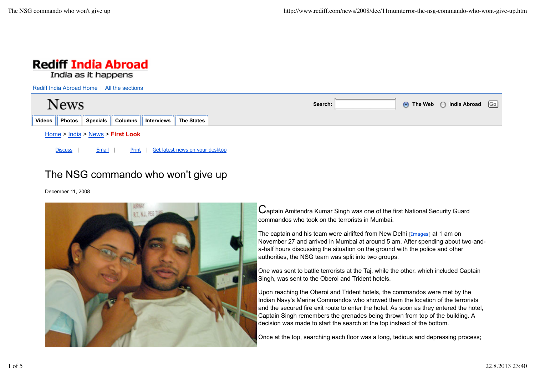

# The NSG commando who won't give up

December 11, 2008



Captain Amitendra Kumar Singh was one of the first National Security Guard commandos who took on the terrorists in Mumbai.

The captain and his team were airlifted from New Delhi [Images] at 1 am on November 27 and arrived in Mumbai at around 5 am. After spending about two-anda-half hours discussing the situation on the ground with the police and other authorities, the NSG team was split into two groups.

One was sent to battle terrorists at the Taj, while the other, which included Captain Singh, was sent to the Oberoi and Trident hotels.

Upon reaching the Oberoi and Trident hotels, the commandos were met by the Indian Navy's Marine Commandos who showed them the location of the terrorists and the secured fire exit route to enter the hotel. As soon as they entered the hotel, Captain Singh remembers the grenades being thrown from top of the building. A decision was made to start the search at the top instead of the bottom.

Once at the top, searching each floor was a long, tedious and depressing process;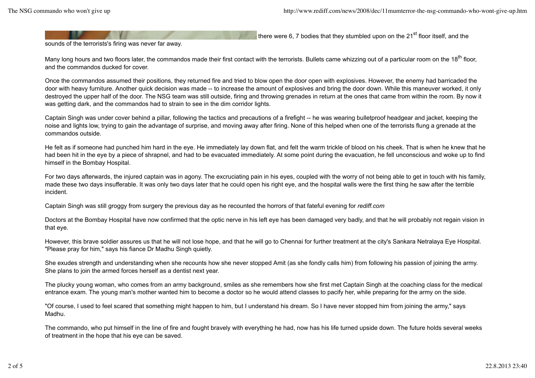there were 6, 7 bodies that they stumbled upon on the 21 $^{\text{st}}$  floor itself, and the

sounds of the terrorists's firing was never far away.

Many long hours and two floors later, the commandos made their first contact with the terrorists. Bullets came whizzing out of a particular room on the 18<sup>th</sup> floor. and the commandos ducked for cover.

Once the commandos assumed their positions, they returned fire and tried to blow open the door open with explosives. However, the enemy had barricaded the door with heavy furniture. Another quick decision was made -- to increase the amount of explosives and bring the door down. While this maneuver worked, it only destroyed the upper half of the door. The NSG team was still outside, firing and throwing grenades in return at the ones that came from within the room. By now it was getting dark, and the commandos had to strain to see in the dim corridor lights.

Captain Singh was under cover behind a pillar, following the tactics and precautions of a firefight -- he was wearing bulletproof headgear and jacket, keeping the noise and lights low, trying to gain the advantage of surprise, and moving away after firing. None of this helped when one of the terrorists flung a grenade at the commandos outside.

He felt as if someone had punched him hard in the eye. He immediately lay down flat, and felt the warm trickle of blood on his cheek. That is when he knew that he had been hit in the eye by a piece of shrapnel, and had to be evacuated immediately. At some point during the evacuation, he fell unconscious and woke up to find himself in the Bombay Hospital.

For two days afterwards, the injured captain was in agony. The excruciating pain in his eyes, coupled with the worry of not being able to get in touch with his family, made these two days insufferable. It was only two days later that he could open his right eye, and the hospital walls were the first thing he saw after the terrible incident.

Captain Singh was still groggy from surgery the previous day as he recounted the horrors of that fateful evening for *rediff.com*

Doctors at the Bombay Hospital have now confirmed that the optic nerve in his left eye has been damaged very badly, and that he will probably not regain vision in that eye.

However, this brave soldier assures us that he will not lose hope, and that he will go to Chennai for further treatment at the city's Sankara Netralaya Eye Hospital. "Please pray for him," says his fiance Dr Madhu Singh quietly.

She exudes strength and understanding when she recounts how she never stopped Amit (as she fondly calls him) from following his passion of joining the army. She plans to join the armed forces herself as a dentist next year.

The plucky young woman, who comes from an army background, smiles as she remembers how she first met Captain Singh at the coaching class for the medical entrance exam. The young man's mother wanted him to become a doctor so he would attend classes to pacify her, while preparing for the army on the side.

"Of course, I used to feel scared that something might happen to him, but I understand his dream. So I have never stopped him from joining the army," says Madhu.

The commando, who put himself in the line of fire and fought bravely with everything he had, now has his life turned upside down. The future holds several weeks of treatment in the hope that his eye can be saved.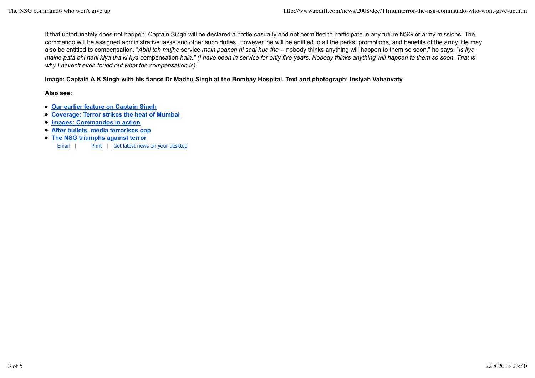If that unfortunately does not happen, Captain Singh will be declared a battle casualty and not permitted to participate in any future NSG or army missions. The commando will be assigned administrative tasks and other such duties. However, he will be entitled to all the perks, promotions, and benefits of the army. He may also be entitled to compensation. "*Abhi toh mujhe* service *mein paanch hi saal hue the* -- nobody thinks anything will happen to them so soon," he says. "*Is liye maine pata bhi nahi kiya tha ki kya* compensation *hain." (I have been in service for only five years. Nobody thinks anything will happen to them so soon. That is why I haven't even found out what the compensation is).*

## **Image: Captain A K Singh with his fiance Dr Madhu Singh at the Bombay Hospital. Text and photograph: Insiyah Vahanvaty**

### **Also see:**

- **Our earlier feature on Captain Singh**
- **Coverage: Terror strikes the heat of Mumbai**
- **Images: Commandos in action**
- **After bullets, media terrorises cop**
- **The NSG triumphs against terror**

Email | Print | Get latest news on your desktop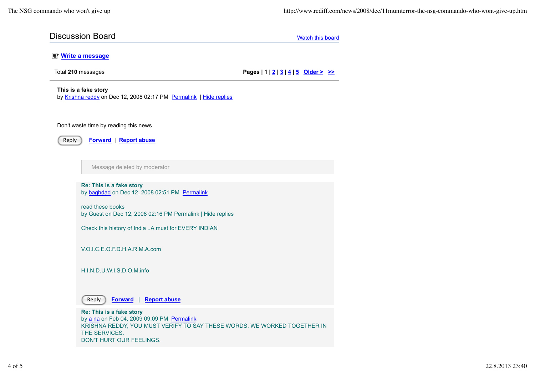## **Discussion Board** Watch this board Watch this board Watch this board

## **E** Write a message

Total **210** messages **Pages | 1 | 2 | 3 | 4 | 5 Older > >>**

### **This is a fake story**

by Krishna reddy on Dec 12, 2008 02:17 PM Permalink | Hide replies

#### Don't waste time by reading this news



Reply **Forward** | **Report abuse**

Message deleted by moderator

**Re: This is a fake story** by baghdad on Dec 12, 2008 02:51 PM Permalink

read these books by Guest on Dec 12, 2008 02:16 PM Permalink | Hide replies

Check this history of India ..A must for EVERY INDIAN

V.O.I.C.E.O.F.D.H.A.R.M.A.com

H.I.N.D.U.W.I.S.D.O.M.info



Reply **Forward** | **Report abuse**

**Re: This is a fake story** by a na on Feb 04, 2009 09:09 PM Permalink KRISHNA REDDY, YOU MUST VERIFY TO SAY THESE WORDS. WE WORKED TOGETHER IN THE SERVICES. DON'T HURT OUR FEELINGS.